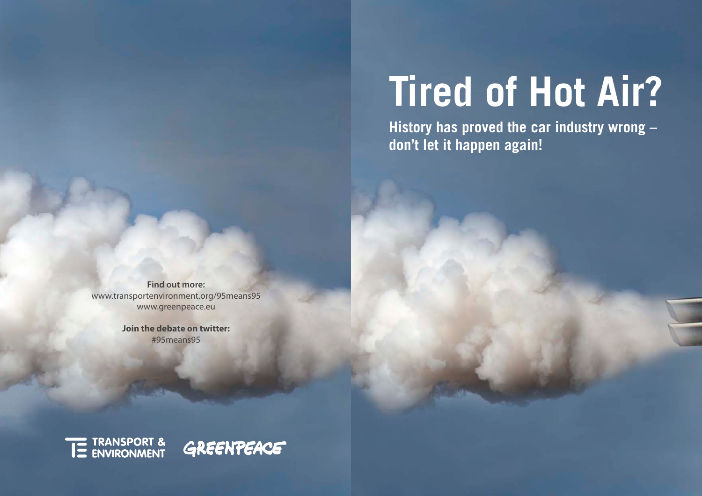# **Tired of Hot Air?**

**History has proved the car industry wrong – don't let it happen again!**

**Some simple truths to control the smoke clear the smoke**  $\alpha$  **smoke**  $\alpha$ **Find out more:**  www.transportenvironment.org/95means95 www.greenpeace.eu

**generate by the car industry of the care in the care in the care in the set of the set of the set of the set o**<br>#95means95 **Join the debate on twitter:**

> THE TRANSPORT & GREENPEACE